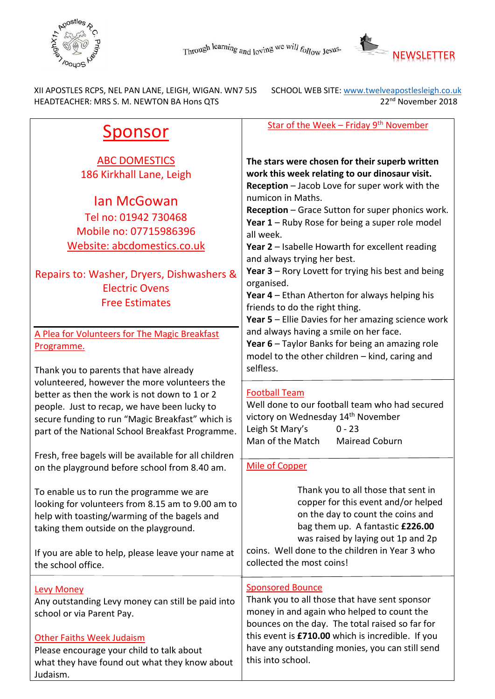



XII APOSTLES RCPS, NEL PAN LANE, LEIGH, WIGAN. WN7 5JS SCHOOL WEB SITE: www.twelveapostlesleigh.co.uk<br>HEADTEACHER: MRS S. M. NEWTON BA Hons QTS 2010 22<sup>nd</sup> November 2018 HEADTEACHER: MRS S. M. NEWTON BA Hons QTS

| Sponsor                                                                                                                                                                                                                                                             | Star of the Week - Friday 9 <sup>th</sup> November                                                                                                                                                                                                                                                                                                                                                                                                                                                                                                                                                   |
|---------------------------------------------------------------------------------------------------------------------------------------------------------------------------------------------------------------------------------------------------------------------|------------------------------------------------------------------------------------------------------------------------------------------------------------------------------------------------------------------------------------------------------------------------------------------------------------------------------------------------------------------------------------------------------------------------------------------------------------------------------------------------------------------------------------------------------------------------------------------------------|
| <b>ABC DOMESTICS</b><br>186 Kirkhall Lane, Leigh<br>lan McGowan<br>Tel no: 01942 730468<br>Mobile no: 07715986396<br>Website: abcdomestics.co.uk<br>Repairs to: Washer, Dryers, Dishwashers &<br><b>Electric Ovens</b><br><b>Free Estimates</b>                     | The stars were chosen for their superb written<br>work this week relating to our dinosaur visit.<br>Reception - Jacob Love for super work with the<br>numicon in Maths.<br>Reception - Grace Sutton for super phonics work.<br>Year $1$ – Ruby Rose for being a super role model<br>all week.<br>Year 2 - Isabelle Howarth for excellent reading<br>and always trying her best.<br><b>Year 3</b> – Rory Lovett for trying his best and being<br>organised.<br>Year 4 - Ethan Atherton for always helping his<br>friends to do the right thing.<br>Year 5 - Ellie Davies for her amazing science work |
| A Plea for Volunteers for The Magic Breakfast<br>Programme.<br>Thank you to parents that have already                                                                                                                                                               | and always having a smile on her face.<br>Year 6 - Taylor Banks for being an amazing role<br>model to the other children - kind, caring and<br>selfless.                                                                                                                                                                                                                                                                                                                                                                                                                                             |
| volunteered, however the more volunteers the<br>better as then the work is not down to 1 or 2<br>people. Just to recap, we have been lucky to<br>secure funding to run "Magic Breakfast" which is<br>part of the National School Breakfast Programme.               | <b>Football Team</b><br>Well done to our football team who had secured<br>victory on Wednesday 14th November<br>Leigh St Mary's<br>$0 - 23$<br>Man of the Match<br>Mairead Coburn                                                                                                                                                                                                                                                                                                                                                                                                                    |
| Fresh, free bagels will be available for all children<br>on the playground before school from 8.40 am.                                                                                                                                                              | <b>Mile of Copper</b>                                                                                                                                                                                                                                                                                                                                                                                                                                                                                                                                                                                |
| To enable us to run the programme we are<br>looking for volunteers from 8.15 am to 9.00 am to<br>help with toasting/warming of the bagels and<br>taking them outside on the playground.<br>If you are able to help, please leave your name at<br>the school office. | Thank you to all those that sent in<br>copper for this event and/or helped<br>on the day to count the coins and<br>bag them up. A fantastic £226.00<br>was raised by laying out 1p and 2p<br>coins. Well done to the children in Year 3 who<br>collected the most coins!                                                                                                                                                                                                                                                                                                                             |
| <b>Levy Money</b><br>Any outstanding Levy money can still be paid into<br>school or via Parent Pay.<br><b>Other Faiths Week Judaism</b><br>Please encourage your child to talk about<br>what they have found out what they know about<br>Judaism.                   | <b>Sponsored Bounce</b><br>Thank you to all those that have sent sponsor<br>money in and again who helped to count the<br>bounces on the day. The total raised so far for<br>this event is £710.00 which is incredible. If you<br>have any outstanding monies, you can still send<br>this into school.                                                                                                                                                                                                                                                                                               |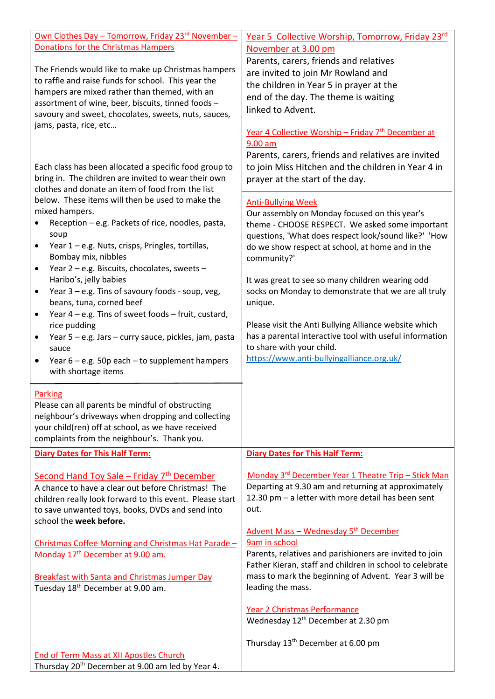| <u> Own Clothes Day – Tomorrow, Friday 23<sup>rd</sup> November – </u><br><b>Donations for the Christmas Hampers</b><br>The Friends would like to make up Christmas hampers<br>to raffle and raise funds for school. This year the<br>hampers are mixed rather than themed, with an<br>assortment of wine, beer, biscuits, tinned foods -<br>savoury and sweet, chocolates, sweets, nuts, sauces,<br>jams, pasta, rice, etc<br>Each class has been allocated a specific food group to<br>bring in. The children are invited to wear their own<br>clothes and donate an item of food from the list<br>below. These items will then be used to make the<br>mixed hampers. | Year 5 Collective Worship, Tomorrow, Friday 23rd<br>November at 3.00 pm<br>Parents, carers, friends and relatives<br>are invited to join Mr Rowland and<br>the children in Year 5 in prayer at the<br>end of the day. The theme is waiting<br>linked to Advent.<br>Year 4 Collective Worship - Friday 7 <sup>th</sup> December at<br>$9.00$ am<br>Parents, carers, friends and relatives are invited<br>to join Miss Hitchen and the children in Year 4 in<br>prayer at the start of the day.<br><b>Anti-Bullying Week</b><br>Our assembly on Monday focused on this year's |
|-------------------------------------------------------------------------------------------------------------------------------------------------------------------------------------------------------------------------------------------------------------------------------------------------------------------------------------------------------------------------------------------------------------------------------------------------------------------------------------------------------------------------------------------------------------------------------------------------------------------------------------------------------------------------|-----------------------------------------------------------------------------------------------------------------------------------------------------------------------------------------------------------------------------------------------------------------------------------------------------------------------------------------------------------------------------------------------------------------------------------------------------------------------------------------------------------------------------------------------------------------------------|
| Reception - e.g. Packets of rice, noodles, pasta,<br>soup<br>Year 1 - e.g. Nuts, crisps, Pringles, tortillas,<br>Bombay mix, nibbles<br>Year 2 - e.g. Biscuits, chocolates, sweets -<br>$\bullet$                                                                                                                                                                                                                                                                                                                                                                                                                                                                       | theme - CHOOSE RESPECT. We asked some important<br>questions, 'What does respect look/sound like?' 'How<br>do we show respect at school, at home and in the<br>community?'                                                                                                                                                                                                                                                                                                                                                                                                  |
| Haribo's, jelly babies<br>Year 3 - e.g. Tins of savoury foods - soup, veg,<br>$\bullet$<br>beans, tuna, corned beef<br>Year 4 - e.g. Tins of sweet foods - fruit, custard,<br>$\bullet$<br>rice pudding                                                                                                                                                                                                                                                                                                                                                                                                                                                                 | It was great to see so many children wearing odd<br>socks on Monday to demonstrate that we are all truly<br>unique.<br>Please visit the Anti Bullying Alliance website which                                                                                                                                                                                                                                                                                                                                                                                                |
| Year 5 - e.g. Jars - curry sauce, pickles, jam, pasta<br>$\bullet$<br>sauce<br>Year $6 - e.g.$ 50p each $-$ to supplement hampers<br>$\bullet$<br>with shortage items                                                                                                                                                                                                                                                                                                                                                                                                                                                                                                   | has a parental interactive tool with useful information<br>to share with your child.<br>https://www.anti-bullyingalliance.org.uk/                                                                                                                                                                                                                                                                                                                                                                                                                                           |
| <b>Parking</b><br>Please can all parents be mindful of obstructing<br>neighbour's driveways when dropping and collecting<br>your child(ren) off at school, as we have received<br>complaints from the neighbour's. Thank you.                                                                                                                                                                                                                                                                                                                                                                                                                                           |                                                                                                                                                                                                                                                                                                                                                                                                                                                                                                                                                                             |
| <b>Diary Dates for This Half Term:</b>                                                                                                                                                                                                                                                                                                                                                                                                                                                                                                                                                                                                                                  | <b>Diary Dates for This Half Term:</b>                                                                                                                                                                                                                                                                                                                                                                                                                                                                                                                                      |
| Second Hand Toy Sale - Friday 7 <sup>th</sup> December<br>A chance to have a clear out before Christmas! The<br>children really look forward to this event. Please start<br>to save unwanted toys, books, DVDs and send into<br>school the week before.                                                                                                                                                                                                                                                                                                                                                                                                                 | Monday 3 <sup>rd</sup> December Year 1 Theatre Trip - Stick Man<br>Departing at 9.30 am and returning at approximately<br>12.30 pm - a letter with more detail has been sent<br>out.                                                                                                                                                                                                                                                                                                                                                                                        |
| Christmas Coffee Morning and Christmas Hat Parade-<br>Monday 17 <sup>th</sup> December at 9.00 am.                                                                                                                                                                                                                                                                                                                                                                                                                                                                                                                                                                      | Advent Mass - Wednesday 5 <sup>th</sup> December<br>9am in school<br>Parents, relatives and parishioners are invited to join<br>Father Kieran, staff and children in school to celebrate                                                                                                                                                                                                                                                                                                                                                                                    |
| <b>Breakfast with Santa and Christmas Jumper Day</b><br>Tuesday 18 <sup>th</sup> December at 9.00 am.                                                                                                                                                                                                                                                                                                                                                                                                                                                                                                                                                                   | mass to mark the beginning of Advent. Year 3 will be<br>leading the mass.                                                                                                                                                                                                                                                                                                                                                                                                                                                                                                   |
|                                                                                                                                                                                                                                                                                                                                                                                                                                                                                                                                                                                                                                                                         | Year 2 Christmas Performance<br>Wednesday 12 <sup>th</sup> December at 2.30 pm                                                                                                                                                                                                                                                                                                                                                                                                                                                                                              |
| End of Term Mass at XII Apostles Church<br>Thursday 20 <sup>th</sup> December at 9.00 am led by Year 4.                                                                                                                                                                                                                                                                                                                                                                                                                                                                                                                                                                 | Thursday 13 <sup>th</sup> December at 6.00 pm                                                                                                                                                                                                                                                                                                                                                                                                                                                                                                                               |